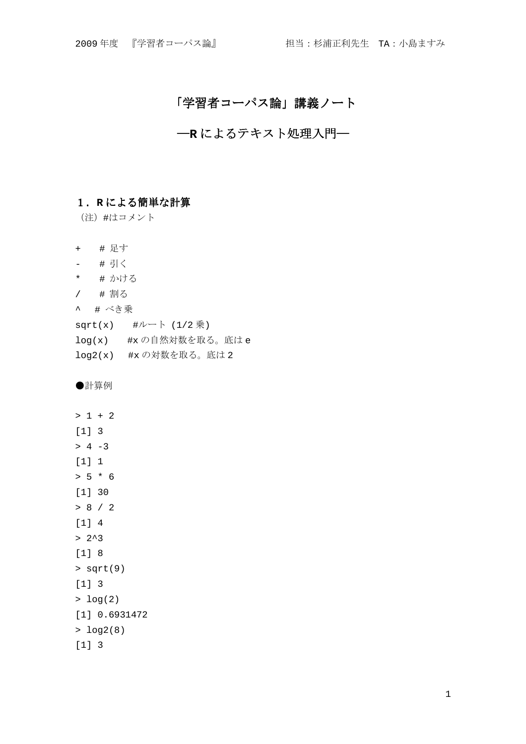# 「学習者コーパス論」講義ノート

# ―**R** によるテキスト処理入門―

# 1.**R** による簡単な計算

(注)#はコメント

- + # 足す
- # 引く
- \* # かける
- / # 割る
- ^ # べき乗
- sqrt(x)  $#1/ (1/2)$ 乗)
- log(x) #x の自然対数を取る。底は e
- log2(x) #x の対数を取る。底は 2

●計算例

```
> 1 + 2[1] 3 
> 4 -3[1] 1> 5 * 6[1] 30 
> 8 / 2 
[1] 4 
> 2^{\lambda}3[1] 8 
> sqrt(9)[1] 3 
> log(2)[1] 0.6931472 
> log2(8) 
[1] 3
```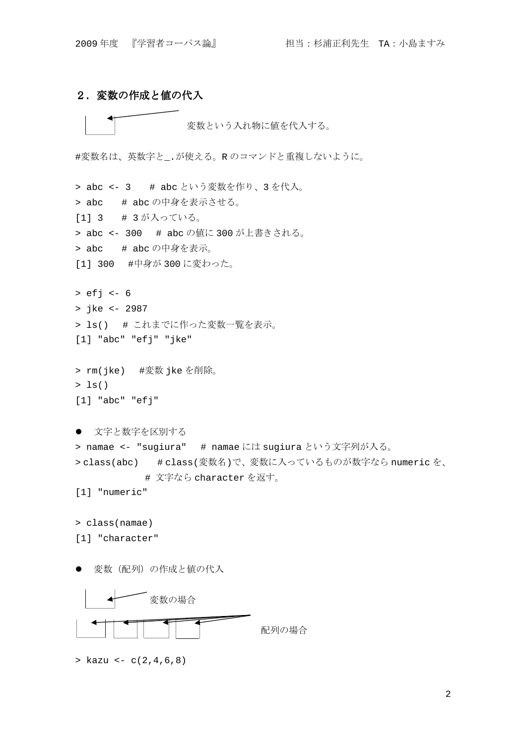# 2.変数の作成と値の代入

変数という入れ物に値を代入する。

#変数名は、英数字と\_.が使える。R のコマンドと重複しないように。

> abc <- 3 # abc という変数を作り、3 を代入。 > abc # abc の中身を表示させる。 [1] 3 # 3 が入っている。 > abc <- 300 # abc の値に 300 が上書きされる。 > abc # abc の中身を表示。 [1] 300 #中身が 300 に変わった。 > efj <- 6 > jke <- 2987 > ls() # これまでに作った変数一覧を表示。 [1] "abc" "efj" "jke" > rm(jke) #変数 jke を削除。  $> 1s()$ [1] "abc" "efj" ● 文字と数字を区別する > namae <- "sugiura" # namae には sugiura という文字列が入る。 > class(abc) # class(変数名)で、変数に入っているものが数字なら numeric を、 # 文字なら character を返す。 [1] "numeric" > class(namae) [1] "character"

変数(配列)の作成と値の代入



 $>$  kazu  $<-$  c(2,4,6,8)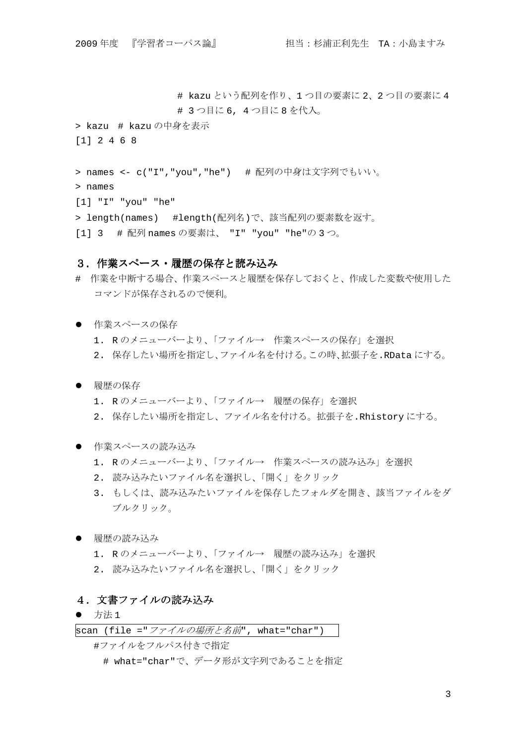# kazu という配列を作り、1 つ目の要素に 2、2 つ目の要素に 4 # 3 つ目に 6, 4 つ目に 8 を代入。

> kazu # kazu の中身を表示 [1] 2 4 6 8

> names <- c("I","you","he") # 配列の中身は文字列でもいい。

> names

[1] "I" "you" "he"

> length(names) #length(配列名)で、該当配列の要素数を返す。

[1] 3 # 配列 names の要素は、 "I" "you" "he"の 3 つ。

### 3.作業スペース・履歴の保存と読み込み

- # 作業を中断する場合、作業スペースと履歴を保存しておくと、作成した変数や使用した コマンドが保存されるので便利。
- 作業スペースの保存
	- 1. R のメニューバーより、「ファイル→ 作業スペースの保存」を選択
	- 2. 保存したい場所を指定し、ファイル名を付ける。この時、拡張子を.RData にする。
- 履歴の保存
	- 1. R のメニューバーより、「ファイル→ 履歴の保存」を選択
	- 2. 保存したい場所を指定し、ファイル名を付ける。拡張子を.Rhistory にする。
- 作業スペースの読み込み
	- 1. R のメニューバーより、「ファイル→ 作業スペースの読み込み」を選択
	- 2. 読み込みたいファイル名を選択し、「開く」をクリック
	- 3. もしくは、読み込みたいファイルを保存したフォルダを開き、該当ファイルをダ ブルクリック。
- 履歴の読み込み
	- 1. Rのメニューバーより、「ファイル→ 履歴の読み込み」を選択
	- 2. 読み込みたいファイル名を選択し、「開く」をクリック

## 4.文書ファイルの読み込み

 $\bullet$  方法 1

scan (file ="ファイルの場所と名前", what="char")

#ファイルをフルパス付きで指定

# what="char"で、データ形が文字列であることを指定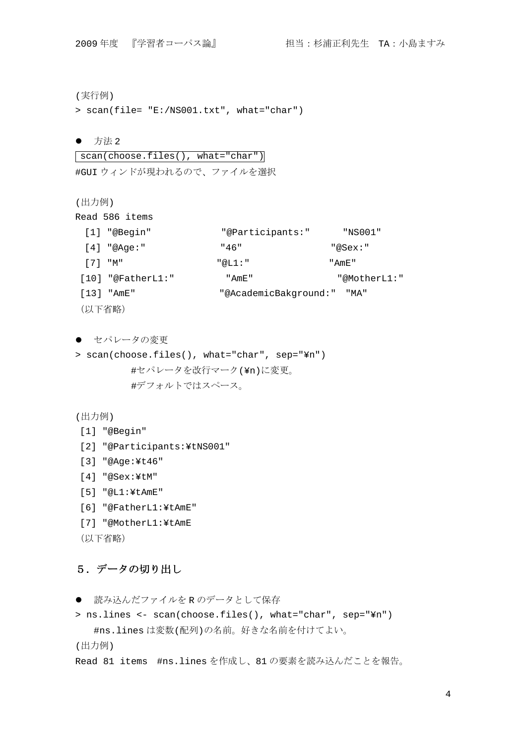(実行例)

> scan(file= "E:/NS001.txt", what="char")

● 方法 2

 scan(choose.files(), what="char") #GUI ウィンドが現われるので、ファイルを選択

(出力例)

Read 586 items

| [1] "@Begin"      | "@Participants:"           | "NS001"      |
|-------------------|----------------------------|--------------|
| $[4]$ "@Aqe:"     | "46"                       | "@Sex:"      |
| $[7]$ "M"         | "@T.1:"                    | " AmF. "     |
| [10] "@FatherL1:" | " AmF. "                   | "@MotherL1:" |
| [13] "AmE"        | "@AcademicBakground:" "MA" |              |
| (以下省略)            |                            |              |

● セパレータの変更

> scan(choose.files(), what="char", sep="¥n") #セパレータを改行マーク(¥n)に変更。 #デフォルトではスペース。

```
(出力例)
```
- [1] "@Begin"
- [2] "@Participants:¥tNS001"
- [3] "@Age:¥t46"
- [4] "@Sex:¥tM"

```
 [5] "@L1:¥tAmE"
```
- [6] "@FatherL1:¥tAmE"
- [7] "@MotherL1:¥tAmE
- (以下省略)

# 5.データの切り出し

● 読み込んだファイルを R のデータとして保存

```
> ns.lines <- scan(choose.files(), what="char", sep="¥n") 
  #ns.lines は変数(配列)の名前。好きな名前を付けてよい。
(出力例)
```
Read 81 items #ns.lines を作成し、81 の要素を読み込んだことを報告。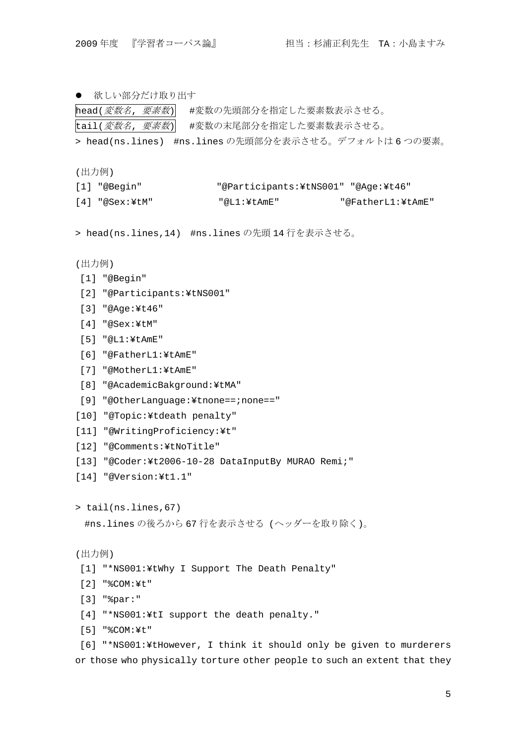● 欲しい部分だけ取り出す

head(*変数名, 要素数*) #変数の先頭部分を指定した要素数表示させる。 tail(*変数名, 要素数*) #変数の末尾部分を指定した要素数表示させる。

```
> head(ns.lines) #ns.lines の先頭部分を表示させる。デフォルトは 6 つの要素。
```
(出力例)

| [1] "@Begin"   | "@Participants:\tNS001" "@Aqe:\t46" |                   |
|----------------|-------------------------------------|-------------------|
| [4] "@Sex:\tM" | "@L1:¥tAmE"                         | "@FatherL1:¥tAmE" |

> head(ns.lines,14) #ns.lines の先頭 14 行を表示させる。

```
(出力例)
```
- [1] "@Begin"
- [2] "@Participants:¥tNS001"
- [3] "@Age:¥t46"
- [4] "@Sex:¥tM"
- [5] "@L1:¥tAmE"
- [6] "@FatherL1:¥tAmE"
- [7] "@MotherL1:¥tAmE"
- [8] "@AcademicBakground:¥tMA"
- [9] "@OtherLanguage:¥tnone==;none=="
- [10] "@Topic:¥tdeath penalty"
- [11] "@WritingProficiency:¥t"
- [12] "@Comments:¥tNoTitle"
- [13] "@Coder:¥t2006-10-28 DataInputBy MURAO Remi;"
- [14] "@Version:¥t1.1"

> tail(ns.lines,67)

```
#ns.lines の後ろから 67 行を表示させる (ヘッダーを取り除く)。
```

```
(出力例)
```
- [1] "\*NS001:¥tWhy I Support The Death Penalty"
- [2] "%COM:¥t"
- [3] "%par:"
- [4] "\*NS001:¥tI support the death penalty."
- [5] "%COM:¥t"

 [6] "\*NS001:¥tHowever, I think it should only be given to murderers or those who physically torture other people to such an extent that they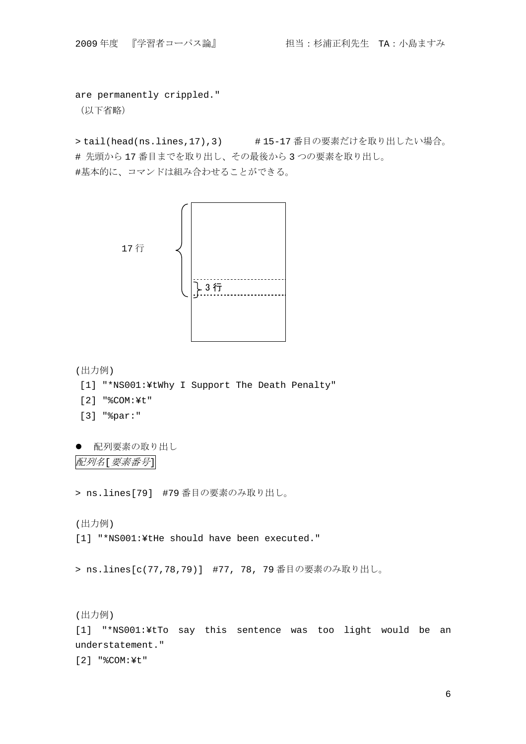are permanently crippled."

(以下省略)

> tail(head(ns.lines,17),3) #15-17 番目の要素だけを取り出したい場合。 # 先頭から 17 番目までを取り出し、その最後から 3 つの要素を取り出し。 #基本的に、コマンドは組み合わせることができる。



```
(出力例)
```
- [1] "\*NS001:¥tWhy I Support The Death Penalty"
- [2] "%COM:¥t"
- [3] "%par:"

```
● 配列要素の取り出し
配列名[要素番号]
```
> ns.lines[79] #79 番目の要素のみ取り出し。

(出力例)

[1] "\*NS001:¥tHe should have been executed."

> ns.lines[c(77,78,79)] #77, 78, 79 番目の要素のみ取り出し。

(出力例)

[1] "\*NS001:¥tTo say this sentence was too light would be an understatement."

[2] "%COM:¥t"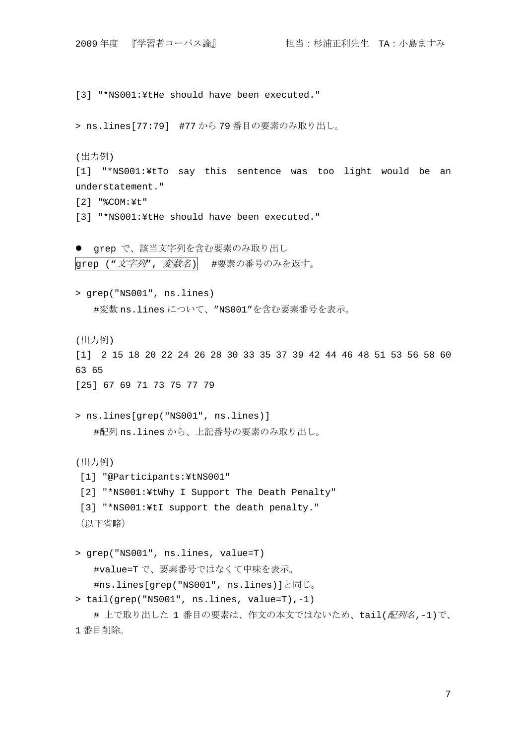[3] "\*NS001:¥tHe should have been executed." > ns.lines[77:79] #77 から 79 番目の要素のみ取り出し。 (出力例) [1] "\*NS001:¥tTo say this sentence was too light would be an understatement." [2] "%COM:¥t" [3] "\*NS001:¥tHe should have been executed." ● grep で、該当文字列を含む要素のみ取り出し grep ("文字列",変数名) #要素の番号のみを返す。 > grep("NS001", ns.lines) #変数 ns.lines について、"NS001"を含む要素番号を表示。 (出力例) [1] 2 15 18 20 22 24 26 28 30 33 35 37 39 42 44 46 48 51 53 56 58 60 63 65 [25] 67 69 71 73 75 77 79 > ns.lines[grep("NS001", ns.lines)] #配列 ns.lines から、上記番号の要素のみ取り出し。 (出力例) [1] "@Participants:¥tNS001" [2] "\*NS001:¥tWhy I Support The Death Penalty" [3] "\*NS001:¥tI support the death penalty." (以下省略) > grep("NS001", ns.lines, value=T) #value=T で、要素番号ではなくて中味を表示。 #ns.lines[grep("NS001", ns.lines)]と同じ。 > tail(grep("NS001", ns.lines, value=T),-1) # 上で取り出した 1 番目の要素は、作文の本文ではないため、tail(配列名,-1)で、 1 番目削除。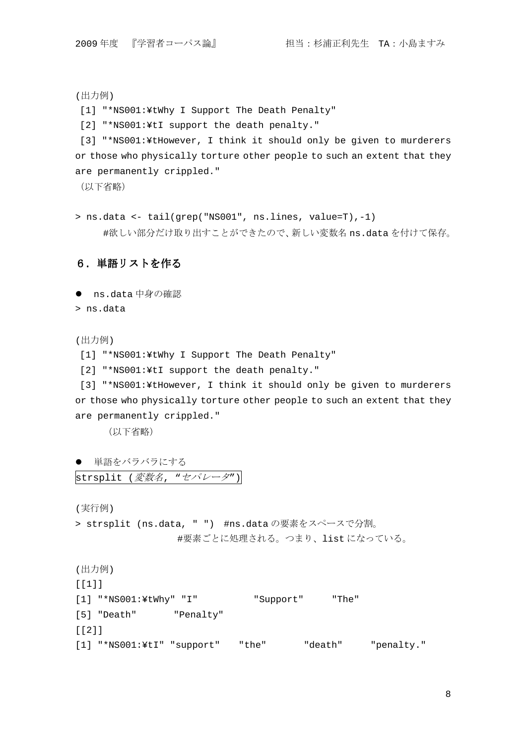(出力例)

[1] "\*NS001:¥tWhy I Support The Death Penalty"

[2] "\*NS001:¥tI support the death penalty."

 [3] "\*NS001:¥tHowever, I think it should only be given to murderers or those who physically torture other people to such an extent that they are permanently crippled."

(以下省略)

> ns.data <- tail(grep("NS001", ns.lines, value=T),-1) #欲しい部分だけ取り出すことができたので、新しい変数名 ns.data を付けて保存。

# 6.単語リストを作る

● ns.data 中身の確認

> ns.data

(出力例)

[1] "\*NS001:¥tWhy I Support The Death Penalty"

[2] "\*NS001:¥tI support the death penalty."

 [3] "\*NS001:¥tHowever, I think it should only be given to murderers or those who physically torture other people to such an extent that they are permanently crippled."

(以下省略)

```
● 単語をバラバラにする
strsplit (変数名, "セパレータ")
```
(実行例)

> strsplit (ns.data, " ") #ns.data の要素をスペースで分割。 #要素ごとに処理される。つまり、list になっている。

```
(出力例) 
[[1]] 
[1] "*NS001:¥tWhy" "I" "Support" "The" 
[5] "Death" "Penalty" 
[[2]]
[1] "*NS001:¥tI" "support" "the" "death" "penalty."
```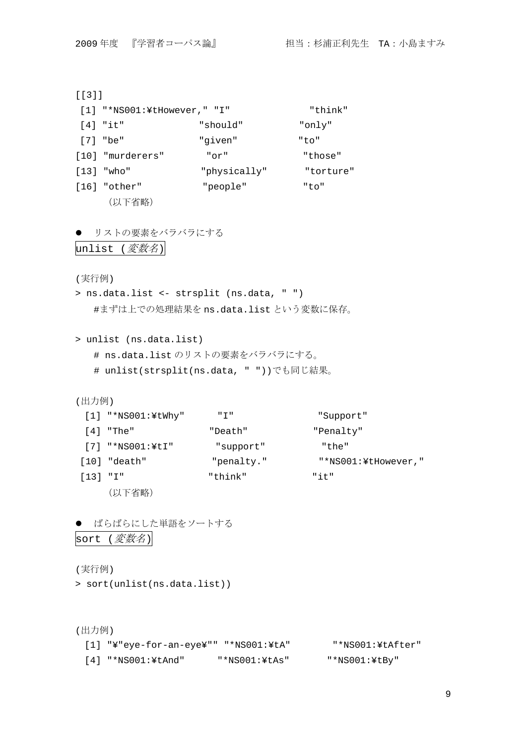[[3]]

| $[1]$ "*NS001:¥tHowever," "I" |              | "think"   |
|-------------------------------|--------------|-----------|
| $[4]$ "it"                    | "should"     | "only"    |
| [7] "be"                      | "given"      | "to"      |
| [10] "murderers"              | " or "       | "those"   |
| [13] "who"                    | "physically" | "torture" |
| [16] "other"                  | "people"     | "to"      |
| (以下省略)                        |              |           |

```
● リストの要素をバラバラにする
```

```
unlist (変数名)
```
(実行例)

> ns.data.list <- strsplit (ns.data, " ") #まずは上での処理結果を ns.data.list という変数に保存。

> unlist (ns.data.list)

- # ns.data.list のリストの要素をバラバラにする。
- # unlist(strsplit(ns.data, " "))でも同じ結果。

(出力例)

|          | $[1]$ "*NS001:¥tWhy" | " T "      | "Support"           |
|----------|----------------------|------------|---------------------|
|          | [4] "The"            | "Death"    | "Penalty"           |
|          | $[7]$ "*NS001:\\{ti  | "support"  | "the"               |
|          | $[10]$ "death"       | "penalty." | "*NS001:¥tHowever," |
| [13] "I" |                      | "think"    | "it"                |
|          | (以下省略)               |            |                     |

● ばらばらにした単語をソートする sort (変数名)

(実行例)

> sort(unlist(ns.data.list))

(出力例)

 [1] "¥"eye-for-an-eye¥"" "\*NS001:¥tA" "\*NS001:¥tAfter" [4] "\*NS001:¥tAnd" "\*NS001:¥tAs" "\*NS001:¥tBy"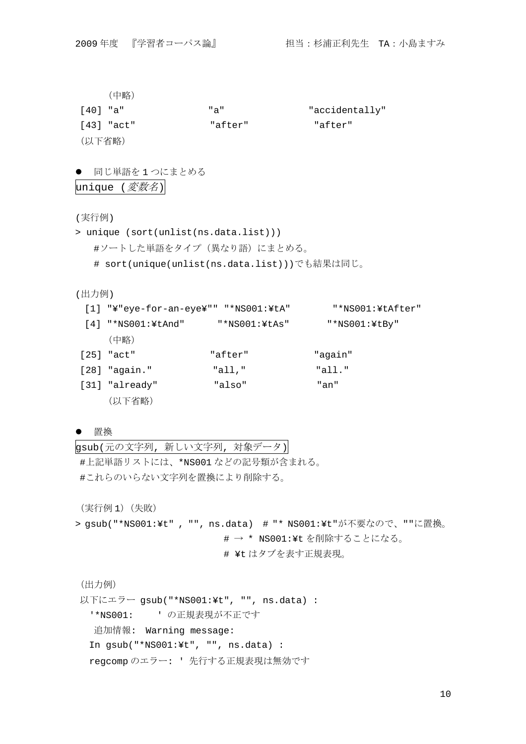(中略)

| 「401 "a"   | "a"     | "accidentally" |
|------------|---------|----------------|
| [43] "act" | "after" | "after"        |
| (以下省略)     |         |                |

● 同じ単語を1つにまとめる

 $|$ unique (*変数名*)

(実行例)

> unique (sort(unlist(ns.data.list))) #ソートした単語をタイプ(異なり語)にまとめる。 # sort(unique(unlist(ns.data.list)))でも結果は同じ。

(出力例)

 [1] "¥"eye-for-an-eye¥"" "\*NS001:¥tA" "\*NS001:¥tAfter" [4] "\*NS001:¥tAnd" "\*NS001:¥tAs" "\*NS001:¥tBy" (中略) [25] "act" "after" "aqain" [28] "again." "all," "all." [31] "already" "also" "an" (以下省略)

### 置換

gsub(元の文字列, 新しい文字列, 対象データ)

#上記単語リストには、\*NS001 などの記号類が含まれる。 #これらのいらない文字列を置換により削除する。

(実行例 1)(失敗)

> gsub("\*NS001:¥t" , "", ns.data) # "\* NS001:¥t"が不要なので、""に置換。 # → \* NS001:¥t を削除することになる。 # ¥t はタブを表す正規表現。

(出力例)

以下にエラー gsub("\*NS001:¥t", "", ns.data) : '\*NS001: ' の正規表現が不正です 追加情報: Warning message: In gsub("\*NS001:¥t", "", ns.data) : regcomp のエラー: ' 先行する正規表現は無効です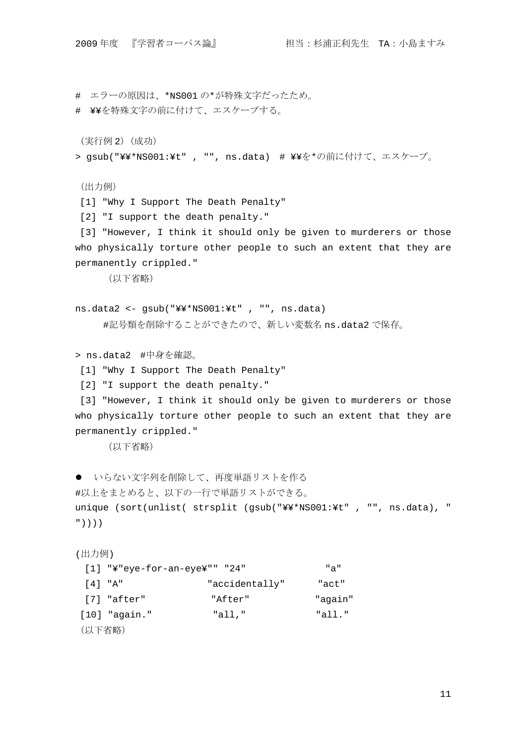```
# エラーの原因は、*NS001 の*が特殊文字だったため。
```
# ¥¥を特殊文字の前に付けて、エスケープする。

(実行例 2)(成功)

> gsub("¥¥\*NS001:¥t" , "", ns.data) # ¥¥を\*の前に付けて、エスケープ。

(出力例)

[1] "Why I Support The Death Penalty"

[2] "I support the death penalty."

 [3] "However, I think it should only be given to murderers or those who physically torture other people to such an extent that they are permanently crippled."

(以下省略)

```
ns.data2 <- gsub("¥¥*NS001:¥t" , "", ns.data) 
    #記号類を削除することができたので、新しい変数名 ns.data2 で保存。
```
> ns.data2 #中身を確認。

[1] "Why I Support The Death Penalty"

[2] "I support the death penalty."

 [3] "However, I think it should only be given to murderers or those who physically torture other people to such an extent that they are permanently crippled."

(以下省略)

```
● いらない文字列を削除して、再度単語リストを作る
#以上をまとめると、以下の一行で単語リストができる。
unique (sort(unlist( strsplit (gsub("¥¥*NS001:¥t" , "", ns.data), " 
"))))
```
(出力例)

| $[1]$ "¥"eye-for-an-eye¥"" "24" |                | "a"     |
|---------------------------------|----------------|---------|
| [4] "A"                         | "accidentally" | "act"   |
| [7] "after"                     | "After"        | "aqain" |
| $[10]$ "again."                 | "all,"         | "all."  |
| (以下省略)                          |                |         |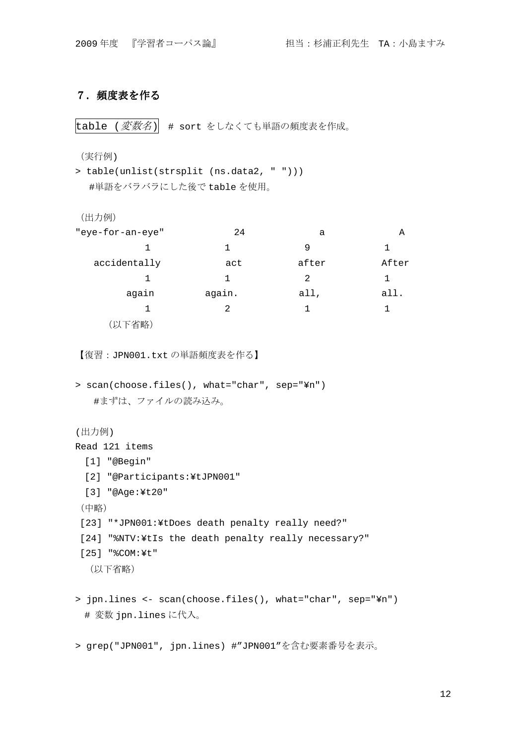# 7.頻度表を作る

 $|\text{table}$  (変数名) # sort をしなくても単語の頻度表を作成。

(実行例)

> table(unlist(strsplit (ns.data2, " "))) #単語をバラバラにした後で table を使用。

```
(出力例)
```

| "eye-for-an-eye" | 24     | а             | Α     |
|------------------|--------|---------------|-------|
|                  | 1      | 9             |       |
| accidentally     | act    | after         | After |
|                  | 1      | $\mathcal{L}$ |       |
| again            | again. | all,          | all.  |
|                  | 2      | 1             |       |
| 省略               |        |               |       |

【復習:JPN001.txt の単語頻度表を作る】

```
> scan(choose.files(), what="char", sep="¥n") 
  #まずは、ファイルの読み込み。
```

```
(出力例)
```

```
Read 121 items
```

```
 [1] "@Begin"
```
- [2] "@Participants:¥tJPN001"
- [3] "@Age:¥t20"

```
(中略)
```
[23] "\*JPN001:¥tDoes death penalty really need?"

```
 [24] "%NTV:¥tIs the death penalty really necessary?"
```

```
 [25] "%COM:¥t"
```

```
 (以下省略)
```
> jpn.lines <- scan(choose.files(), what="char", sep="¥n") # 変数 jpn.lines に代入。

> grep("JPN001", jpn.lines) #"JPN001"を含む要素番号を表示。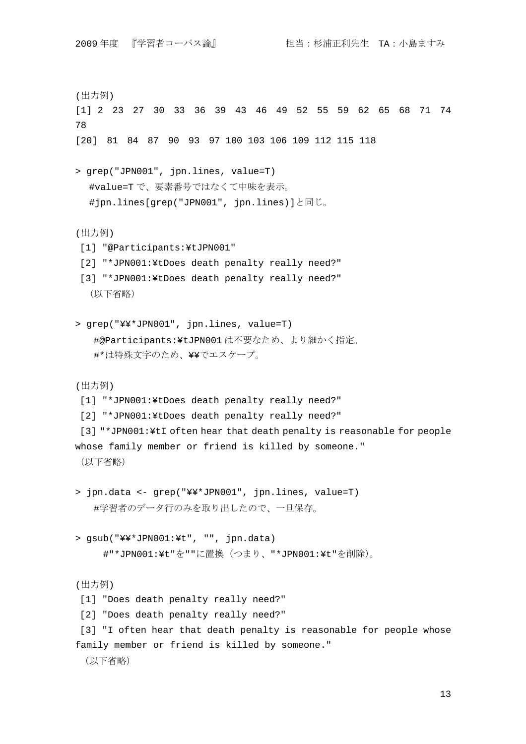(出力例) [1] 2 23 27 30 33 36 39 43 46 49 52 55 59 62 65 68 71 74 78 [20] 81 84 87 90 93 97 100 103 106 109 112 115 118 > grep("JPN001", jpn.lines, value=T) #value=T で、要素番号ではなくて中味を表示。 #jpn.lines[grep("JPN001", jpn.lines)]と同じ。 (出力例) [1] "@Participants:¥tJPN001" [2] "\*JPN001:¥tDoes death penalty really need?" [3] "\*JPN001:¥tDoes death penalty really need?" (以下省略) > grep("¥¥\*JPN001", jpn.lines, value=T) #@Participants:¥tJPN001 は不要なため、より細かく指定。 #\*は特殊文字のため、¥¥でエスケープ。 (出力例) [1] "\*JPN001:¥tDoes death penalty really need?" [2] "\*JPN001:¥tDoes death penalty really need?" [3] "\*JPN001:¥tI often hear that death penalty is reasonable for people whose family member or friend is killed by someone." (以下省略) > jpn.data <- grep("¥¥\*JPN001", jpn.lines, value=T) #学習者のデータ行のみを取り出したので、一旦保存。 > gsub("¥¥\*JPN001:¥t", "", jpn.data) #"\*JPN001:¥t"を""に置換(つまり、"\*JPN001:¥t"を削除)。 (出力例) [1] "Does death penalty really need?" [2] "Does death penalty really need?" [3] "I often hear that death penalty is reasonable for people whose family member or friend is killed by someone." (以下省略)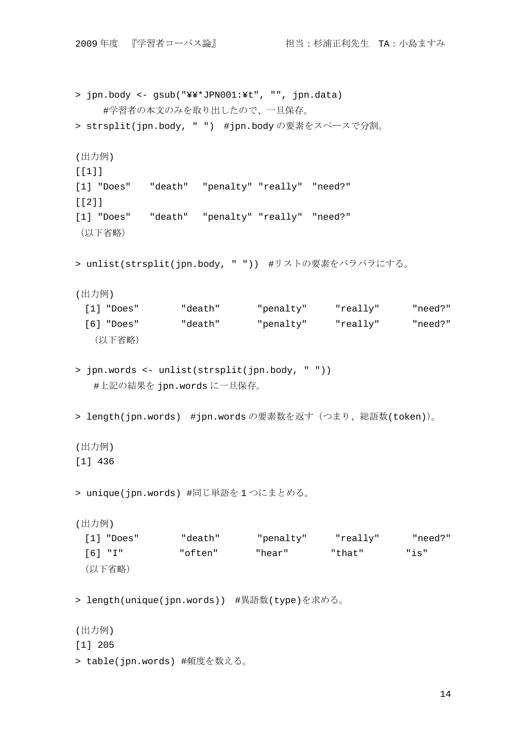```
> jpn.body <- gsub("¥¥*JPN001:¥t", "", jpn.data) 
    #学習者の本文のみを取り出したので、一旦保存。
> strsplit(jpn.body, " ") #jpn.bodyの要素をスペースで分割。
(出力例) 
[1][1] "Does" "death" "penalty" "really" "need?" 
[2][1] "Does" "death" "penalty" "really" "need?" 
(以下省略)
> unlist(strsplit(jpn.body, " ")) #リストの要素をバラバラにする。
(出力例) 
  [1] "Does" "death" "penalty" "really" "need?" 
  [6] "Does" "death" "penalty" "really" "need?" 
   (以下省略)
> jpn.words <- unlist(strsplit(jpn.body, " ")) 
  #上記の結果を jpn.words に一旦保存。
> length(jpn.words) #jpn.words の要素数を返す(つまり、総語数(token))。
(出力例) 
[1] 436 
> unique(jpn.words) #同じ単語を 1 つにまとめる。
(出力例) 
  [1] "Does" "death" "penalty" "really" "need?" 
  [6] "I" "often" "hear" "that" "is" 
 (以下省略)
> length(unique(jpn.words)) #異語数(type)を求める。
(出力例) 
[1] 205 
> table(jpn.words) #頻度を数える。
```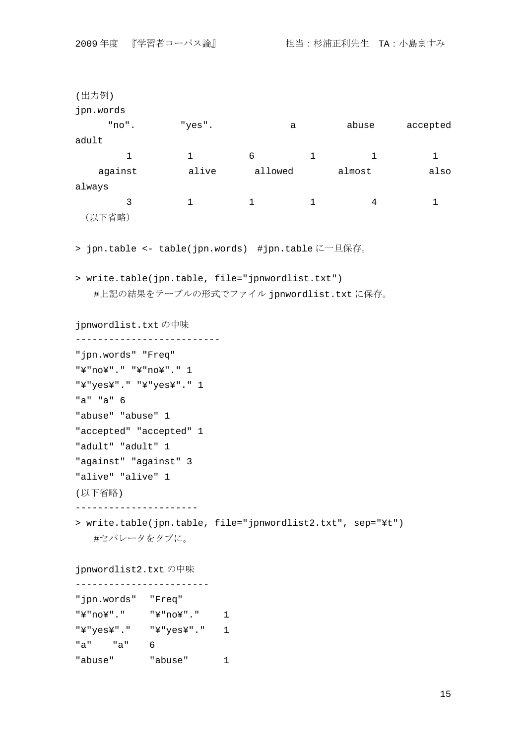```
(出力例) 
jpn.words 
      "no". "yes". a abuse accepted 
adult 
       1 6 1 1 1
    against alive allowed almost also 
always 
        \begin{matrix} 3 & 1 & 1 & 1 & 4 & 1 \end{matrix}(以下省略)
> jpn.table <- table(jpn.words) #jpn.table に一旦保存。
> write.table(jpn.table, file="jpnwordlist.txt") 
  #上記の結果をテーブルの形式でファイル jpnwordlist.txt に保存。
jpnwordlist.txt の中味
-------------------------- 
"jpn.words" "Freq" 
"¥"no¥"." "¥"no¥"." 1 
"¥"yes¥"." "¥"yes¥"." 1 
"a" "a" 6 
"abuse" "abuse" 1 
"accepted" "accepted" 1 
"adult" "adult" 1 
"against" "against" 3 
"alive" "alive" 1 
(以下省略) 
---------------------- 
> write.table(jpn.table, file="jpnwordlist2.txt", sep="¥t") 
  #セパレータをタブに。
jpnwordlist2.txt の中味
------------------------
```

| "jpn.words" |     | "Freq"     |    |
|-------------|-----|------------|----|
| "¥"no¥"."   |     | "¥"no¥"."  | ı. |
| "¥"yes¥"."  |     | "¥"yes¥"." | Т. |
| "a"         | "a" | 6          |    |
| "abuse"     |     | "abuse"    |    |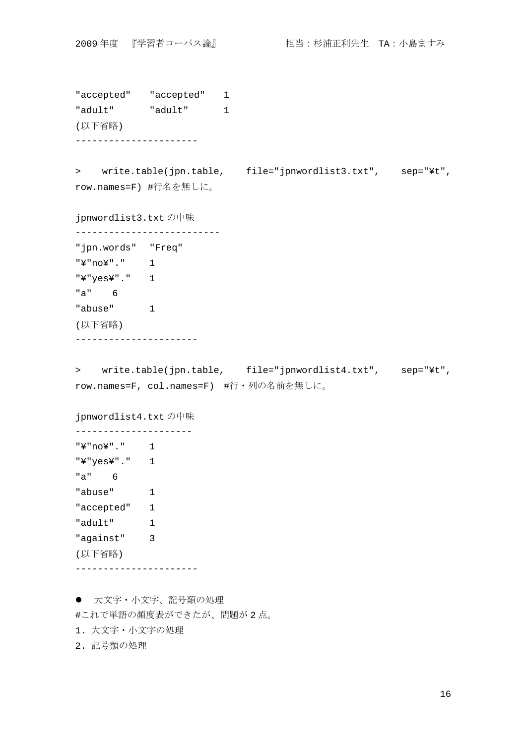```
"accepted" "accepted" 1 
"adult" "adult" 1 
(以下省略) 
---------------------- 
> write.table(jpn.table, file="jpnwordlist3.txt", sep="¥t", 
row.names=F) #行名を無しに。
jpnwordlist3.txt の中味
-------------------------- 
"jpn.words" "Freq" 
"¥"no¥"." 1 
"¥"yes¥"." 1 
"a" 6 
"abuse" 1 
(以下省略) 
---------------------- 
> write.table(jpn.table, file="jpnwordlist4.txt", sep="¥t", 
row.names=F, col.names=F) #行・列の名前を無しに。
jpnwordlist4.txt の中味
--------------------- 
"¥"no¥"." 1 
"¥"yes¥"." 1 
"a" 6 
"abuse" 1
"accepted" 1 
"adult" 1 
"against" 3 
(以下省略) 
----------------------
```
● 大文字・小文字、記号類の処理

#これで単語の頻度表ができたが、問題が 2 点。

1. 大文字・小文字の処理

2. 記号類の処理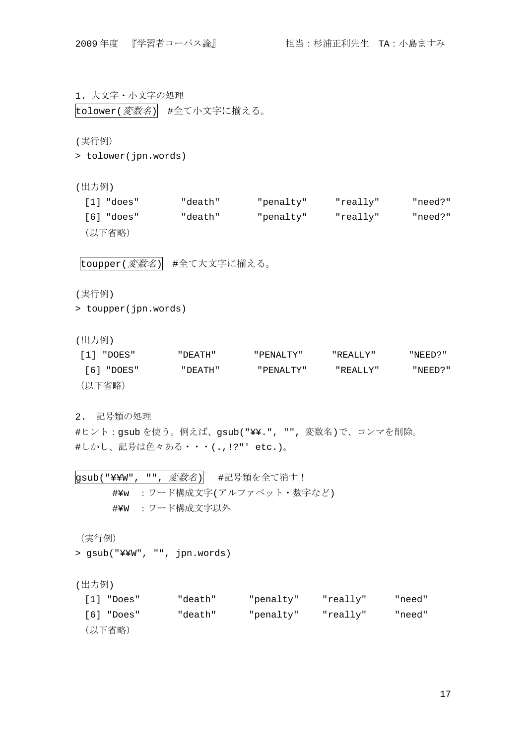1. 大文字・小文字の処理 tolower(変数名) #全て小文字に揃える。

(実行例)

> tolower(jpn.words)

(出力例)

| [1] "does" | "death" | "penalty" | "really" | "need?" |
|------------|---------|-----------|----------|---------|
| [6] "does" | "death" | "penalty" | "really" | "need?" |
| (以下省略)     |         |           |          |         |

toupper(変数名) #全て大文字に揃える。

(実行例)

> toupper(jpn.words)

(出力例)

| [1] "DOES" | " DEATH"   | " PENALTY"  | "REALLY" | " NEED? " |
|------------|------------|-------------|----------|-----------|
| [6] "DOES" | " איד באחי | " PENALTY " | "REALLY" | "NEED?"   |
| (以下省略)     |            |             |          |           |

2. 記号類の処理

#ヒント:gsub を使う。例えば、gsub("¥¥.", "", 変数名)で、コンマを削除。 #しかし、記号は色々ある・・・(.,!?"' etc.)。

gsub("¥¥W", "", 変数名) #記号類を全て消す! #¥w :ワード構成文字(アルファベット・数字など) #¥W :ワード構成文字以外

(実行例)

> gsub("¥¥W", "", jpn.words)

(出力例)

| $\lceil 1 \rceil$ "Does" | "death" | "penalty" | "really" | "need" |
|--------------------------|---------|-----------|----------|--------|
| [6] "Does"               | "death" | "penalty" | "really" | "need" |
| (以下省略)                   |         |           |          |        |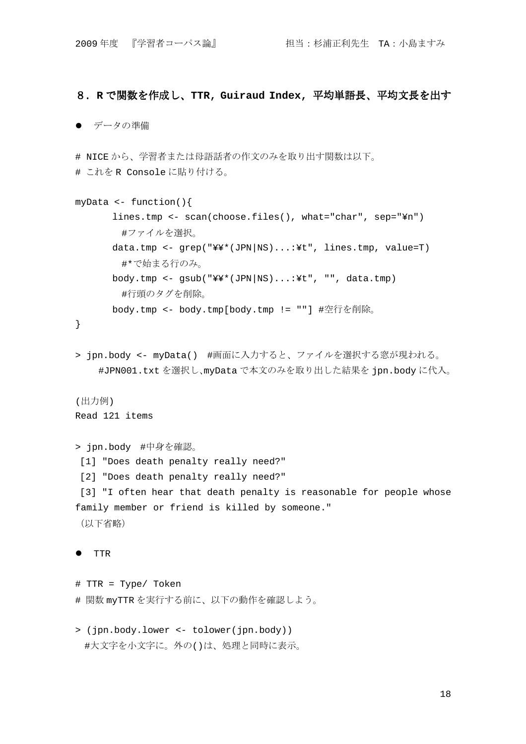## 8.**R** で関数を作成し、**TTR, Guiraud Index,** 平均単語長、平均文長を出す

#### ● データの準備

# NICE から、学習者または母語話者の作文のみを取り出す関数は以下。 # これを R Console に貼り付ける。

```
myData <- function(){ 
       lines.tmp <- scan(choose.files(), what="char", sep="¥n") 
        #ファイルを選択。
       data.tmp <- grep("¥¥*(JPN|NS)...:¥t", lines.tmp, value=T) 
        #*で始まる行のみ。
       body.tmp <- gsub("¥¥*(JPN|NS)...:¥t", "", data.tmp) 
        #行頭のタグを削除。
       body.tmp <- body.tmp[body.tmp != ""] #空行を削除。
```

```
}
```
> jpn.body <- myData() #画面に入力すると、ファイルを選択する窓が現われる。 #JPN001.txt を選択し、myData で本文のみを取り出した結果を jpn.body に代入。

## (出力例)

```
Read 121 items
```

```
> jpn.body #中身を確認。
 [1] "Does death penalty really need?" 
 [2] "Does death penalty really need?" 
 [3] "I often hear that death penalty is reasonable for people whose 
family member or friend is killed by someone." 
(以下省略)
```
#### **•** TTR

```
# TTR = Type/ Token 
# 関数 myTTR を実行する前に、以下の動作を確認しよう。
```

```
> (jpn.body.lower <- tolower(jpn.body)) 
 #大文字を小文字に。外の()は、処理と同時に表示。
```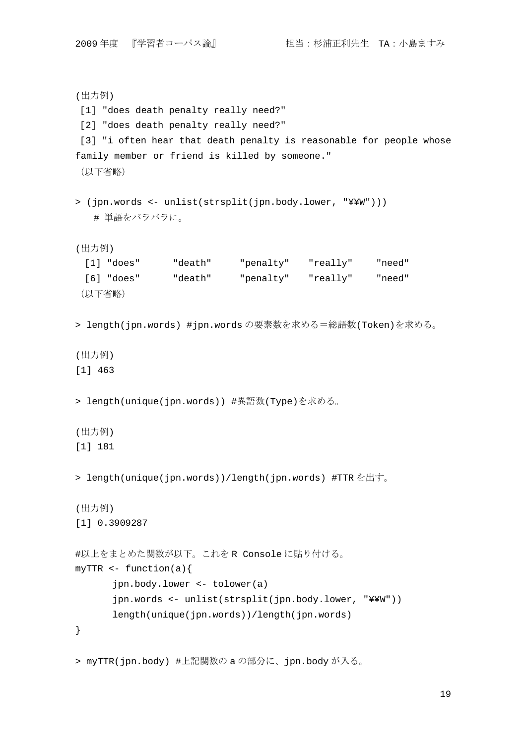```
(出力例) 
 [1] "does death penalty really need?" 
 [2] "does death penalty really need?" 
[3] "i often hear that death penalty is reasonable for people whose
family member or friend is killed by someone." 
(以下省略)
> (jpn.words <- unlist(strsplit(jpn.body.lower, "¥¥W"))) 
   # 単語をバラバラに。
(出力例) 
  [1] "does" "death" "penalty" "really" "need" 
  [6] "does" "death" "penalty" "really" "need" 
 (以下省略)
> length(jpn.words) #jpn.words の要素数を求める=総語数(Token)を求める。
(出力例) 
[1] 463 
> length(unique(jpn.words)) #異語数(Type)を求める。
(出力例) 
[1] 181 
> length(unique(jpn.words))/length(jpn.words) #TTR を出す。
(出力例) 
[1] 0.3909287 
#以上をまとめた関数が以下。これを R Console に貼り付ける。
myTTR \leftarrow function(a) jpn.body.lower <- tolower(a) 
       jpn.words <- unlist(strsplit(jpn.body.lower, "¥¥W")) 
       length(unique(jpn.words))/length(jpn.words) 
} 
> myTTR(jpn.body) #上記関数の a の部分に、jpn.body が入る。
```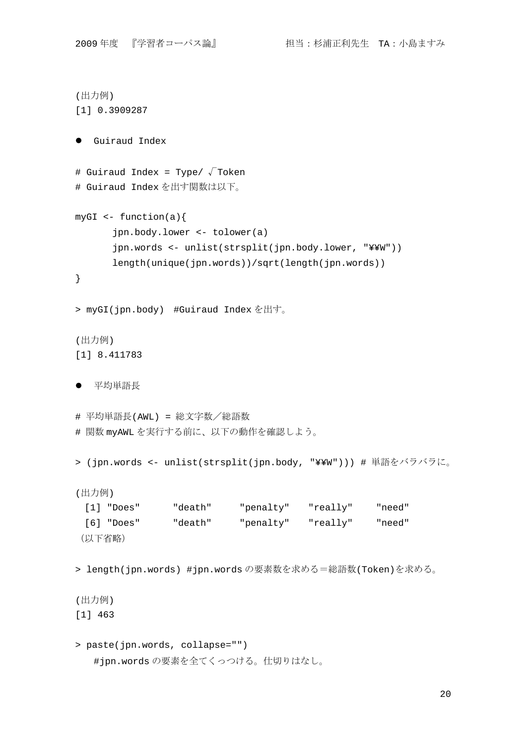```
(出力例) 
[1] 0.3909287 
 Guiraud Index 
# Guiraud Index = Type/ \sqrt{\ } Token
# Guiraud Index を出す関数は以下。
myGI \leftarrow function(a){
       jpn.body.lower <- tolower(a) 
       jpn.words <- unlist(strsplit(jpn.body.lower, "¥¥W")) 
       length(unique(jpn.words))/sqrt(length(jpn.words)) 
} 
> myGI(jpn.body) #Guiraud Index を出す。
(出力例) 
[1] 8.411783 
● 平均単語長
# 平均単語長(AWL) = 総文字数/総語数
# 関数 myAWL を実行する前に、以下の動作を確認しよう。
> (jpn.words <- unlist(strsplit(jpn.body, "¥¥W"))) # 単語をバラバラに。
(出力例) 
  [1] "Does" "death" "penalty" "really" "need" 
  [6] "Does" "death" "penalty" "really" "need" 
 (以下省略)
> length(jpn.words) #jpn.words の要素数を求める=総語数(Token)を求める。
(出力例) 
[1] 463 
> paste(jpn.words, collapse="") 
   #jpn.words の要素を全てくっつける。仕切りはなし。
```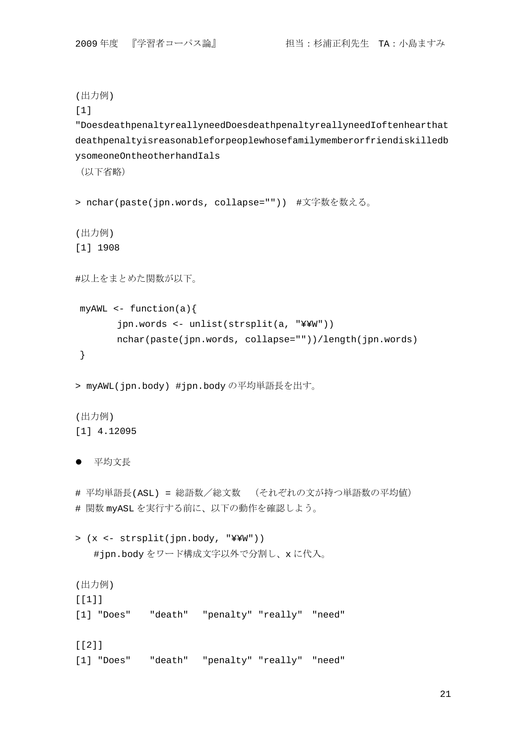```
(出力例) 
[1] 
"DoesdeathpenaltyreallyneedDoesdeathpenaltyreallyneedIoftenhearthat
deathpenaltyisreasonableforpeoplewhosefamilymemberorfriendiskilledb
ysomeoneOntheotherhandIals 
(以下省略)
> nchar(paste(jpn.words, collapse="")) #文字数を数える。
(出力例) 
[1] 1908 
#以上をまとめた関数が以下。
myAWL \leftarrow function(a) jpn.words <- unlist(strsplit(a, "¥¥W")) 
        nchar(paste(jpn.words, collapse=""))/length(jpn.words) 
 } 
> myAWL(jpn.body) #jpn.body の平均単語長を出す。
(出力例) 
[1] 4.12095 
● 平均文長
# 平均単語長(ASL) = 総語数/総文数 (それぞれの文が持つ単語数の平均値)
# 関数 myASL を実行する前に、以下の動作を確認しよう。
> (x <- strsplit(jpn.body, "¥¥W")) 
   #jpn.body をワード構成文字以外で分割し、x に代入。
(出力例) 
[[1]] 
[1] "Does" "death" "penalty" "really" "need" 
[[2]]]
[1] "Does" "death" "penalty" "really" "need"
```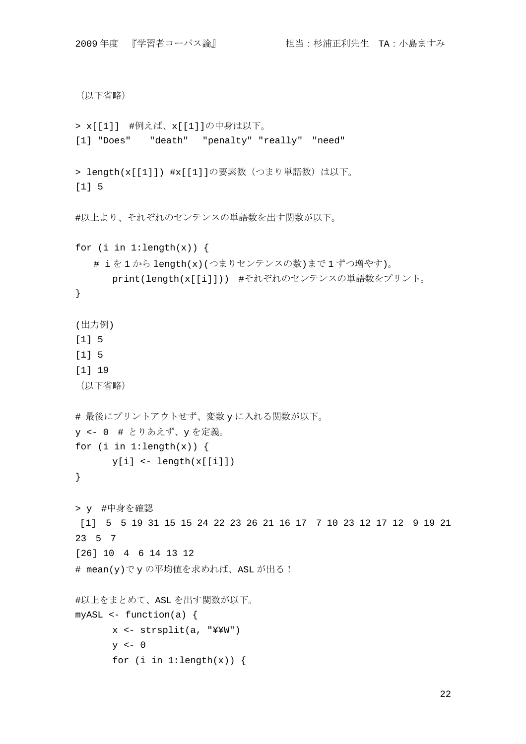```
(以下省略)
> x[[1]] #例えば、x[[1]]の中身は以下。
[1] "Does" "death" "penalty" "really" "need" 
> length(x[[1]]) #x[[1]]の要素数 (つまり単語数) は以下。
[1] 5 
#以上より、それぞれのセンテンスの単語数を出す関数が以下。
for (i in 1:\text{length}(x)) {
   # i を 1 から length(x)(つまりセンテンスの数)まで 1 ずつ増やす)。
       print(length(x[[i]])) #それぞれのセンテンスの単語数をプリント。
} 
(出力例) 
[1] 5 
[1] 5 
[1] 19 
(以下省略)
# 最後にプリントアウトせず、変数 y に入れる関数が以下。
y <- 0 # とりあえず、y を定義。
for (i in 1:\text{length}(x)) {
      y[i] <- length(x[[i]])
} 
> y #中身を確認
 [1] 5 5 19 31 15 15 24 22 23 26 21 16 17 7 10 23 12 17 12 9 19 21 
23 5 7 
[26] 10 4 6 14 13 12 
# mean(y)で y の平均値を求めれば、ASL が出る!
#以上をまとめて、ASL を出す関数が以下。
myASL \leftarrow function(a) x <- strsplit(a, "¥¥W") 
      y \leftarrow 0for (i in 1:\text{length}(x)) {
```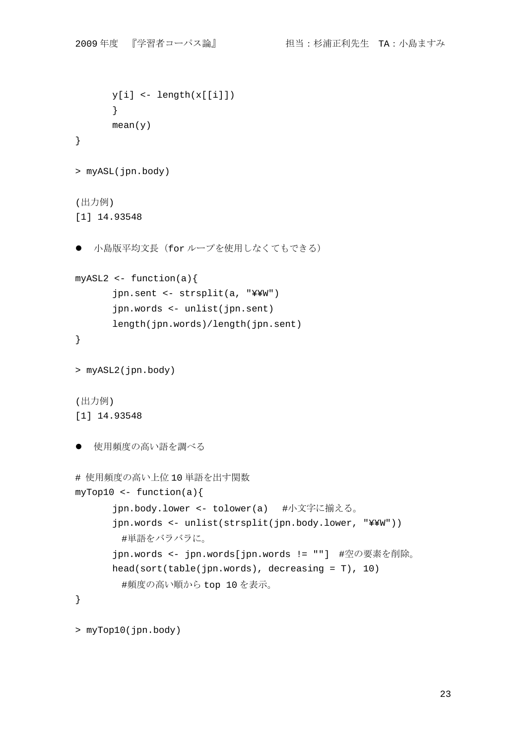```
y[i] <- length(x[[i]])
       } 
      mean(y)} 
> myASL(jpn.body) 
(出力例) 
[1] 14.93548 
● 小島版平均文長 (for ループを使用しなくてもできる)
myASL2 \leftarrow function(a){
       jpn.sent <- strsplit(a, "¥¥W") 
       jpn.words <- unlist(jpn.sent) 
       length(jpn.words)/length(jpn.sent) 
} 
> myASL2(jpn.body) 
(出力例) 
[1] 14.93548 
● 使用頻度の高い語を調べる
# 使用頻度の高い上位 10 単語を出す関数
myTop10 \leftarrow function(a) jpn.body.lower <- tolower(a) #小文字に揃える。
       jpn.words <- unlist(strsplit(jpn.body.lower, "¥¥W")) 
        #単語をバラバラに。
       jpn.words <- jpn.words[jpn.words != ""] #空の要素を削除。
       head(sort(table(jpn.words), decreasing = T), 10) 
        #頻度の高い順から top 10 を表示。
} 
> myTop10(jpn.body)
```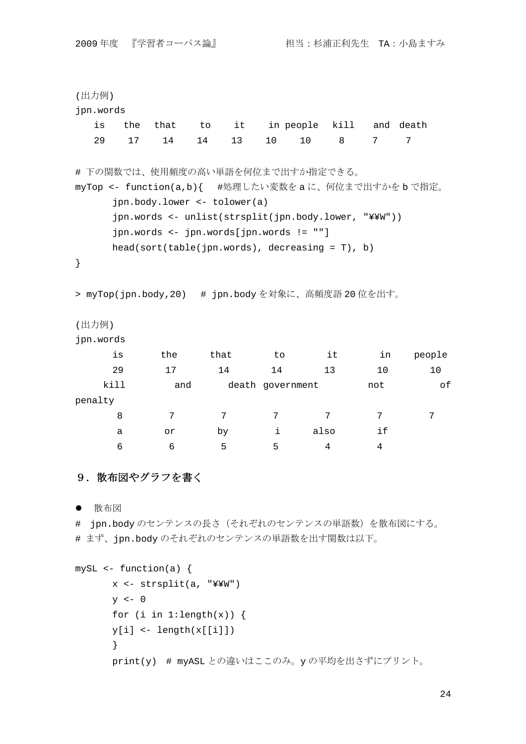| (出力例)                                                                                                                                                                                                                                                                              |      |      |                                                  |                  |           |      |     |           |
|------------------------------------------------------------------------------------------------------------------------------------------------------------------------------------------------------------------------------------------------------------------------------------|------|------|--------------------------------------------------|------------------|-----------|------|-----|-----------|
| jpn.words                                                                                                                                                                                                                                                                          |      |      |                                                  |                  |           |      |     |           |
| is                                                                                                                                                                                                                                                                                 | the  | that | it<br>to                                         |                  | in people | kill |     | and death |
| 29                                                                                                                                                                                                                                                                                 | 17   | 14   | 13<br>14                                         | 10               | 10        | 8    | 7   | 7         |
| # 下の関数では、使用頻度の高い単語を何位まで出すか指定できる。<br>myTop <- function(a,b){ #処理したい変数をaに、何位まで出すかをbで指定。<br>jpn.body.lower <- tolower(a)<br>jpn.words <- unlist(strsplit(jpn.body.lower, "¥¥W"))<br>jpn.words <- jpn.words[jpn.words != ""]<br>$head(sort(table(jpn.words), decreasing = T), b)$<br>} |      |      |                                                  |                  |           |      |     |           |
|                                                                                                                                                                                                                                                                                    |      |      | > myTop(jpn.body,20) # jpn.bodyを対象に、高頻度語 20位を出す。 |                  |           |      |     |           |
| (出力例)                                                                                                                                                                                                                                                                              |      |      |                                                  |                  |           |      |     |           |
| jpn.words                                                                                                                                                                                                                                                                          |      |      |                                                  |                  |           |      |     |           |
|                                                                                                                                                                                                                                                                                    | is   | the  | that                                             | to               |           | it   | in  | people    |
|                                                                                                                                                                                                                                                                                    | 29   | 17   | 14                                               | 14               |           | 13   | 10  | 10        |
|                                                                                                                                                                                                                                                                                    | kill | and  |                                                  | death government |           |      | not | of        |
| penalty                                                                                                                                                                                                                                                                            |      |      |                                                  |                  |           |      |     |           |
|                                                                                                                                                                                                                                                                                    | 8    | 7    | 7                                                | 7                |           | 7    | 7   | 7         |
|                                                                                                                                                                                                                                                                                    | а    | or   | by                                               | i                | also      |      | if  |           |
|                                                                                                                                                                                                                                                                                    | 6    | 6    | 5                                                | 5                |           | 4    | 4   |           |

# 9. 散布図やグラフを書く

● 散布図

# jpn.body のセンテンスの長さ(それぞれのセンテンスの単語数)を散布図にする。 # まず、jpn.body のそれぞれのセンテンスの単語数を出す関数は以下。

```
mySL <- function(a) { 
       x <- strsplit(a, "¥¥W") 
      y \leftarrow 0for (i in 1:\text{length}(x)) {
      y[i] <- length(x[[i]])
       } 
       print(y) # myASL との違いはここのみ。y の平均を出さずにプリント。
```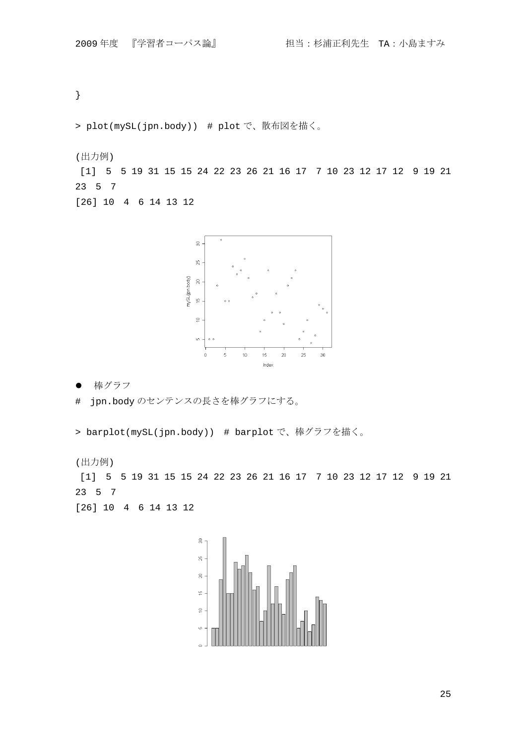}

> plot(mySL(jpn.body)) # plot で、散布図を描く。

(出力例)

 [1] 5 5 19 31 15 15 24 22 23 26 21 16 17 7 10 23 12 17 12 9 19 21 23 5 7

[26] 10 4 6 14 13 12



● 棒グラフ

# jpn.body のセンテンスの長さを棒グラフにする。

> barplot(mySL(jpn.body)) # barplot で、棒グラフを描く。

(出力例)

 [1] 5 5 19 31 15 15 24 22 23 26 21 16 17 7 10 23 12 17 12 9 19 21 23 5 7 [26] 10 4 6 14 13 12

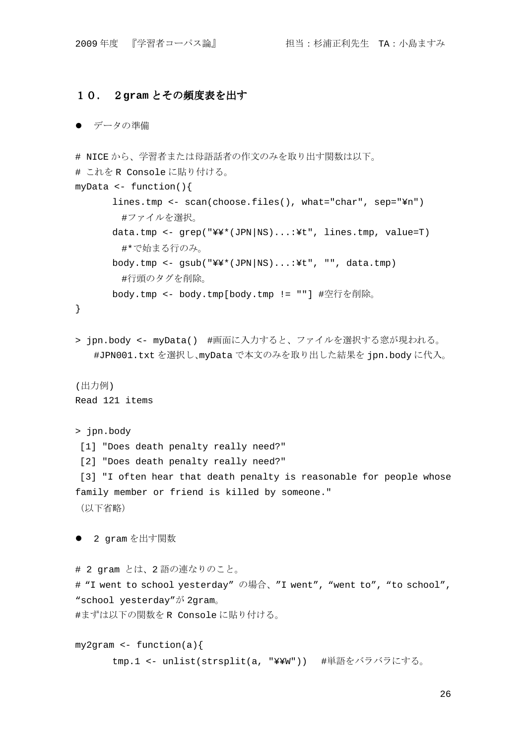## 10. 2**gram** とその頻度表を出す

#### ● データの準備

```
# NICE から、学習者または母語話者の作文のみを取り出す関数は以下。
# これを R Console に貼り付ける。
myData <- function(){ 
       lines.tmp <- scan(choose.files(), what="char", sep="¥n") 
       #ファイルを選択。
       data.tmp <- grep("¥¥*(JPN|NS)...:¥t", lines.tmp, value=T) 
       #*で始まる行のみ。
      body.tmp <- gsub("YY*(JPN|NS)...:Yt", "", data.tmp)#行頭のタグを削除。
       body.tmp <- body.tmp[body.tmp != ""] #空行を削除。
} 
> jpn.body <- myData() #画面に入力すると、ファイルを選択する窓が現われる。
    #JPN001.txt を選択し、myData で本文のみを取り出した結果を jpn.body に代入。
(出力例) 
Read 121 items 
> jpn.body 
 [1] "Does death penalty really need?" 
 [2] "Does death penalty really need?" 
[3] "I often hear that death penalty is reasonable for people whose
family member or friend is killed by someone." 
(以下省略)
● 2 gram を出す関数
# 2 gram とは、2 語の連なりのこと。
# "I went to school yesterday" の場合、"I went", "went to", "to school",
"school yesterday"が 2gram。
#まずは以下の関数を R Console に貼り付ける。
my2gram \leftarrow function(a)tmp.1 <- unlist(strsplit(a, "¥¥W")) #単語をバラバラにする。
```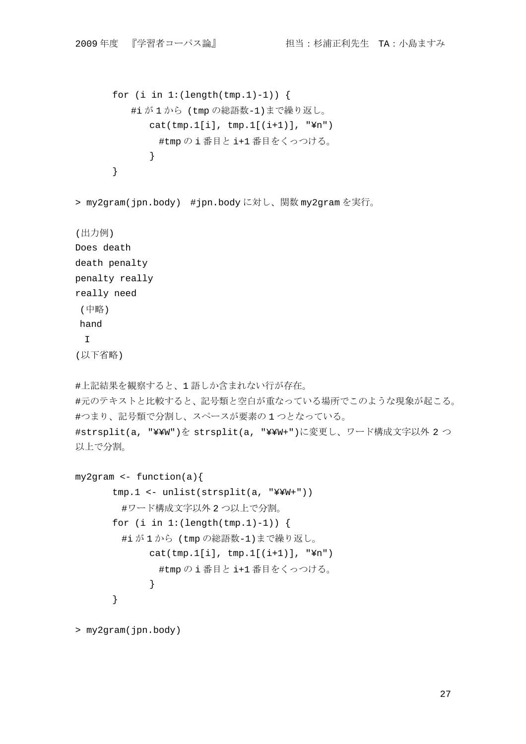```
for (i \text{ in } 1:(\text{length}(\text{tmp.}1)-1)) {
         #i が 1 から (tmp の総語数-1)まで繰り返し。
            cat(tmp.1[i], tmp.1[(i+1)], "¥n") 
              #tmp の i 番目と i+1 番目をくっつける。
            } 
      } 
> my2gram(jpn.body) #jpn.body に対し、関数 my2gram を実行。
(出力例) 
Does death 
death penalty 
penalty really 
really need 
(中略) 
hand 
  I 
(以下省略) 
#上記結果を観察すると、1 語しか含まれない行が存在。
#元のテキストと比較すると、記号類と空白が重なっている場所でこのような現象が起こる。
#つまり、記号類で分割し、スペースが要素の 1 つとなっている。
#strsplit(a, "¥¥W")を strsplit(a, "¥¥W+")に変更し、ワード構成文字以外 2 つ
以上で分割。
my2gram <- function(a){ 
      tmp.1 <- unlist(strsplit(a, "¥¥W+")) 
       #ワード構成文字以外 2 つ以上で分割。
      for (i in 1:(\text{length}(\text{tmp.1})-1)) {
       #i が 1 から (tmp の総語数-1)まで繰り返し。
            cat(tmp.1[i], tmp.1[(i+1)], "Yn")#tmp の i 番目と i+1 番目をくっつける。
            } 
      }
```

```
> my2gram(jpn.body)
```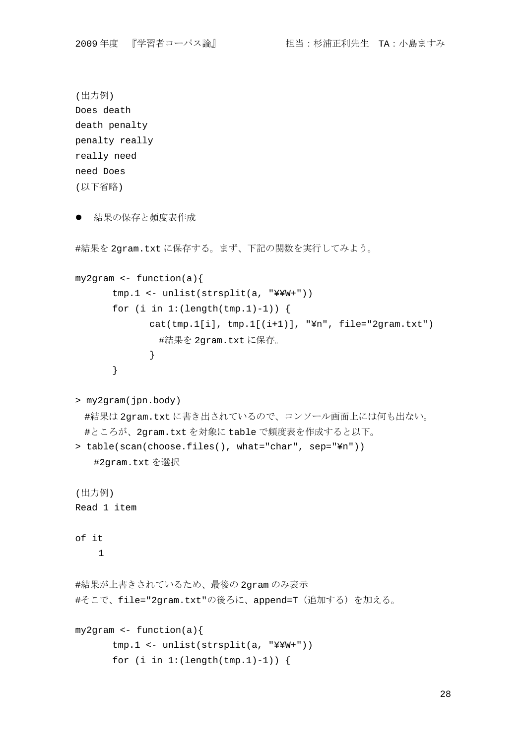```
(出力例) 
Does death 
death penalty 
penalty really 
really need 
need Does 
(以下省略) 
● 結果の保存と頻度表作成
#結果を 2gram.txt に保存する。まず、下記の関数を実行してみよう。
my2gram <- function(a){ 
      tmp.1 <- unlist(strsplit(a, "¥¥W+")) 
      for (i in 1:(\text{length}(\text{tmp.1})-1)) {
             cat(tmp.1[i], tmp.1[(i+1)], "In", file="2gram.txt")#結果を 2gram.txt に保存。
             } 
      } 
> my2gram(jpn.body) 
 #結果は 2gram.txt に書き出されているので、コンソール画面上には何も出ない。
 #ところが、2gram.txt を対象に table で頻度表を作成すると以下。
> table(scan(choose.files(), what="char", sep="¥n")) 
   #2gram.txt を選択
(出力例) 
Read 1 item 
of it 
     1 
#結果が上書きされているため、最後の 2gram のみ表示
#そこで、file="2gram.txt"の後ろに、append=T(追加する)を加える。
my2gram <- function(a){ 
      tmp.1 <- unlist(strsplit(a, "¥¥W+")) 
      for (i \text{ in } 1:(\text{length}(\text{tmp.}1)-1)) {
```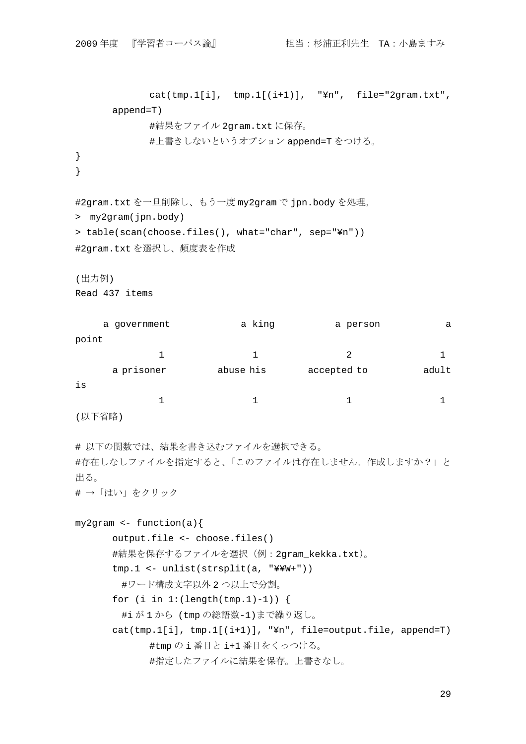```
cat(tmp.1[i], tmp.1[(i+1)], "Yn", file="2gram.txt",append=T) 
           #結果をファイル 2gram.txt に保存。
            #上書きしないというオプション append=T をつける。
} 
}
```

```
#2gram.txt を一旦削除し、もう一度 my2gram で jpn.body を処理。
```

```
> my2gram(jpn.body)
```

```
> table(scan(choose.files(), what="char", sep="¥n")) 
#2gram.txt を選択し、頻度表を作成
```

```
(出力例)
```

```
Read 437 items
```

|                              | a government | a king    | a person    | а     |
|------------------------------|--------------|-----------|-------------|-------|
| point                        |              |           |             |       |
|                              |              |           | 2           |       |
|                              | a prisoner   | abuse his | accepted to | adult |
| is                           |              |           |             |       |
|                              |              |           |             |       |
| $\cdots$ . $\cdots$ $\cdots$ |              |           |             |       |

```
(以下省略)
```

```
# 以下の関数では、結果を書き込むファイルを選択できる。
#存在しなしファイルを指定すると、「このファイルは存在しません。作成しますか?」と
出る。
```
# →「はい」をクリック

```
my2gram \leftarrow function(a)output.file <- choose.files() 
      #結果を保存するファイルを選択(例:2gram_kekka.txt)。
      tmp.1 <- unlist(strsplit(a, "¥¥W+")) 
       #ワード構成文字以外 2 つ以上で分割。
      for (i \text{ in } 1:(\text{length}(\text{tmp.}1)-1)) {
        #i が 1 から (tmp の総語数-1)まで繰り返し。
      cat(tmp.1[i], tmp.1[(i+1)], "¥n", file=output.file, append=T) 
             #tmp の i 番目と i+1 番目をくっつける。
             #指定したファイルに結果を保存。上書きなし。
```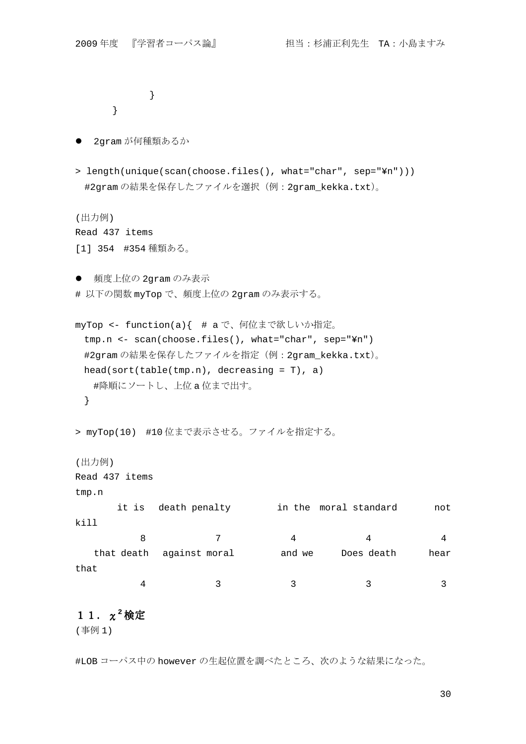}

}

```
 2gram が何種類あるか
```
> length(unique(scan(choose.files(), what="char", sep="¥n"))) #2gram の結果を保存したファイルを選択(例:2gram\_kekka.txt)。

(出力例) Read 437 items [1] 354 #354 種類ある。

● 頻度上位の 2qram のみ表示

# 以下の関数 myTop で、頻度上位の 2gram のみ表示する。

```
myTop <- function(a){ # a で、何位まで欲しいか指定。
 tmp.n <- scan(choose.files(), what="char", sep="¥n") 
 #2gram の結果を保存したファイルを指定(例:2gram_kekka.txt)。
 head(sort(table(tmp.n), decreasing = T), a) 
  #降順にソートし、上位 a 位まで出す。
 }
```

```
> myTop(10) #10 位まで表示させる。ファイルを指定する。
```
(出力例)

Read 437 items

tmp.n

```
 it is death penalty in the moral standard not 
kill 
8 7 4 4 4 4
  that death against moral and we Does death hear 
that
```
4 3 3 3 3 3 3 3 3 4 3 4  $\sqrt{3}$  3 3 4  $\sqrt{3}$  3 3 4  $\sqrt{3}$  3 3 4  $\sqrt{3}$  3 3 4  $\sqrt{3}$  3  $\sqrt{3}$  3  $\sqrt{3}$  3  $\sqrt{3}$  3  $\sqrt{3}$  3  $\sqrt{3}$  3  $\sqrt{3}$  3  $\sqrt{3}$  3  $\sqrt{3}$  3  $\sqrt{3}$  3  $\sqrt{3}$  3  $\sqrt{3}$  3  $\sqrt{3}$  3  $\sqrt{3}$  3  $\sqrt$ 

# 11.χ**<sup>2</sup>** 検定

(事例 1)

#LOB コーパス中の however の生起位置を調べたところ、次のような結果になった。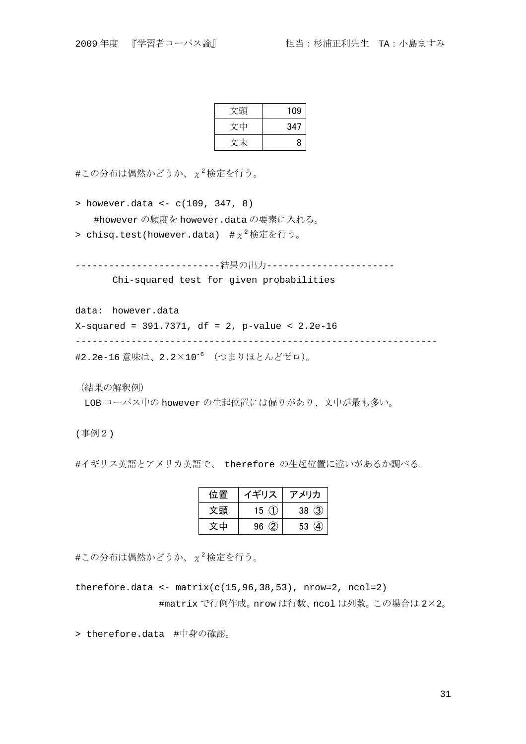| 文頭 | 109 |
|----|-----|
| 文中 | 347 |
|    | 8   |

 $\sharp$ この分布は偶然かどうか、 $\chi^2$ 検定を行う。

> however.data <- c(109, 347, 8) #however の頻度を however.data の要素に入れる。

> chisq.test(however.data)  $\#\chi^2$ 検定を行う。

--------------------------結果の出力----------------------- Chi-squared test for given probabilities

data: however.data

X-squared = 391.7371, df = 2, p-value < 2.2e-16

-----------------------------------------------------------------

#2.2e-16 意味は、2.2×10-6 (つまりほとんどゼロ)。

(結果の解釈例)

LOB コーパス中の however の生起位置には偏りがあり、文中が最も多い。

(事例2)

#イギリス英語とアメリカ英語で、 therefore の生起位置に違いがあるか調べる。

| 位置 | イギリス     | アメリカ                              |
|----|----------|-----------------------------------|
| 文頭 | 15 $(1)$ | 38(3)                             |
| 文中 | 96(2)    | $\left( \mathbf{4} \right)$<br>53 |

 $\sharp$ この分布は偶然かどうか、 $\chi^2$ 検定を行う。

therefore.data <-  $matrix(c(15, 96, 38, 53)$ , nrow=2, ncol=2) #matrix で行例作成。nrow は行数、ncol は列数。この場合は 2×2。

> therefore.data #中身の確認。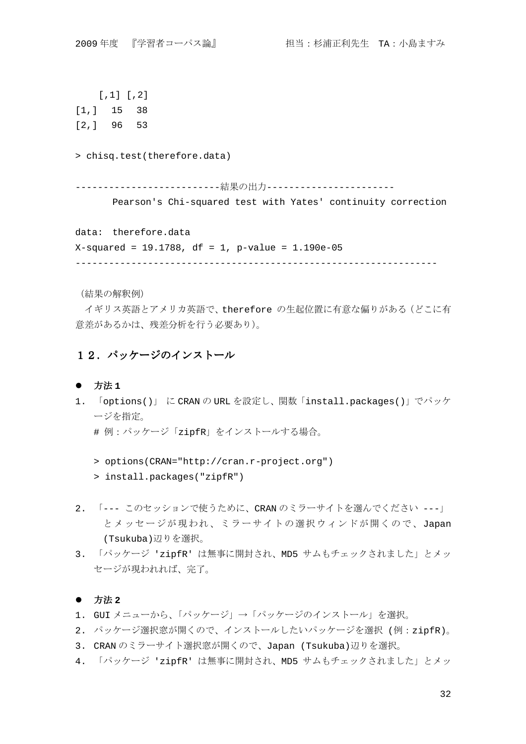[,1] [,2] [1,] 15 38 [2,] 96 53 > chisq.test(therefore.data) --------------------------結果の出力----------------------- Pearson's Chi-squared test with Yates' continuity correction data: therefore.data X-squared = 19.1788, df = 1, p-value = 1.190e-05 -----------------------------------------------------------------

(結果の解釈例)

イギリス英語とアメリカ英語で、therefore の生起位置に有意な偏りがある(どこに有 意差があるかは、残差分析を行う必要あり)。

## 12.パッケージのインストール

### ● 方法 1

- 1. 「options()」 に CRAN の URL を設定し、関数「install.packages()」でパッケ ージを指定。
	- # 例:パッケージ「zipfR」をインストールする場合。
	- > options(CRAN="http://cran.r-project.org")
	- > install.packages("zipfR")
- 2. 「--- このセッションで使うために、CRAN のミラーサイトを選んでください ---」 とメッセージが現われ、ミラーサイトの選択ウィンドが開くので、Japan (Tsukuba)辺りを選択。
- 3. 「パッケージ 'zipfR' は無事に開封され、MD5 サムもチェックされました」とメッ セージが現われれば、完了。

### ● 方法 2

- 1. GUI メニューから、「パッケージ」→「パッケージのインストール」を選択。
- 2. パッケージ選択窓が開くので、インストールしたいパッケージを選択 (例:zipfR)。
- 3. CRAN のミラーサイト選択窓が開くので、Japan (Tsukuba)辺りを選択。
- 4. 「パッケージ 'zipfR' は無事に開封され、MD5 サムもチェックされました」とメッ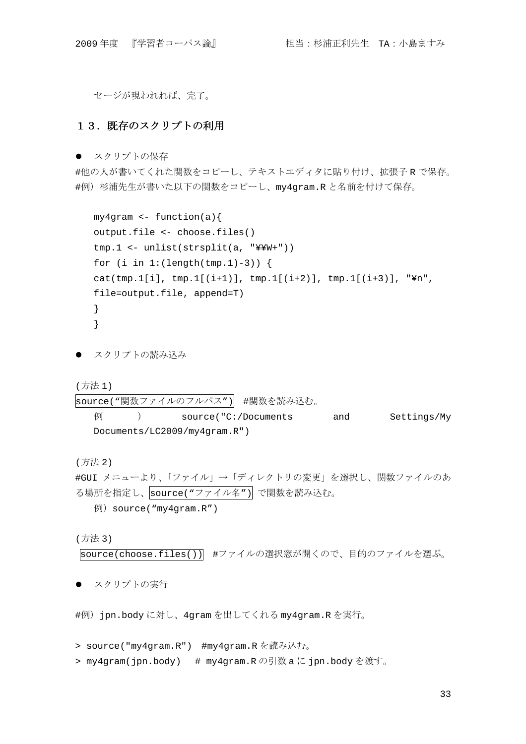セージが現われれば、完了。

## 13. 既存のスクリプトの利用

● スクリプトの保存

#他の人が書いてくれた関数をコピーし、テキストエディタに貼り付け、拡張子 R で保存。 #例)杉浦先生が書いた以下の関数をコピーし、my4gram.R と名前を付けて保存。

```
my4gram \leftarrow function(a)output.file <- choose.files() 
tmp.1 <- unlist(strsplit(a, "¥¥W+")) 
for (i in 1:(\text{length}(\text{tmp.1})-3)) {
cat(tmp.1[i], tmp.1[(i+1)], tmp.1[(i+2)], tmp.1[(i+3)], "¥n",
file=output.file, append=T) 
} 
}
```
● スクリプトの読み込み

(方法 1)

```
source("関数ファイルのフルパス") #関数を読み込む。
  例 ) source("C:/Documents and Settings/My 
  Documents/LC2009/my4gram.R")
```
(方法 2)

```
#GUI メニューより、「ファイル」→「ディレクトリの変更」を選択し、関数ファイルのあ
る場所を指定し、source("ファイル名")で関数を読み込む。
  例)source("my4gram.R")
```
(方法 3)

source(choose.files()) #ファイルの選択窓が開くので、目的のファイルを選ぶ。

● スクリプトの実行

```
#例)jpn.body に対し、4gram を出してくれる my4gram.R を実行。
```

```
> source("my4gram.R") #my4gram.R を読み込む。
```

```
> my4gram(jpn.body) # my4gram.R の引数 a に jpn.body を渡す。
```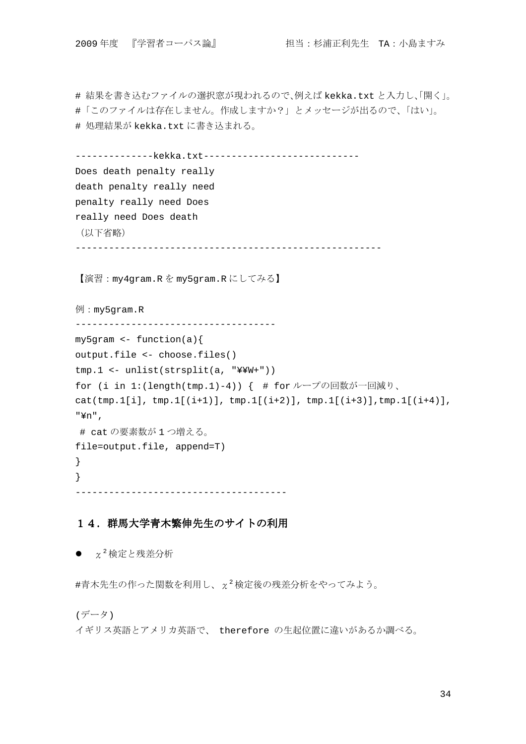# 結果を書き込むファイルの選択窓が現われるので、例えば kekka.txt と入力し、「開く」。 #「このファイルは存在しません。作成しますか?」とメッセージが出るので、「はい」。 # 処理結果が kekka.txt に書き込まれる。

```
-----------------kekka.txt------------------------------
Does death penalty really 
death penalty really need 
penalty really need Does 
really need Does death 
 (以下省略)
 -------------------------------------------------------
```
【演習:my4gram.R を my5gram.R にしてみる】

例:my5gram.R

------------------------------------

my5gram <- function(a){

output.file <- choose.files()

tmp.1 <- unlist(strsplit(a, "¥¥W+"))

for (i in 1:(length(tmp.1)-4)) { # for ループの回数が一回減り、

 $cat(tmp.1[i], tmp.1[(i+1)], tmp.1[(i+2)], tmp.1[(i+3)], tmp.1[(i+4)],$ "¥n",

 # cat の要素数が 1 つ増える。 file=output.file, append=T)

--------------------------------------

## 14. 群馬大学青木繁伸先生のサイトの利用

 $\bullet$   $\chi^2$ 検定と残差分析

 $#$ 青木先生の作った関数を利用し、 $\chi^2$ 検定後の残差分析をやってみよう。

(データ)

} }

イギリス英語とアメリカ英語で、 therefore の生起位置に違いがあるか調べる。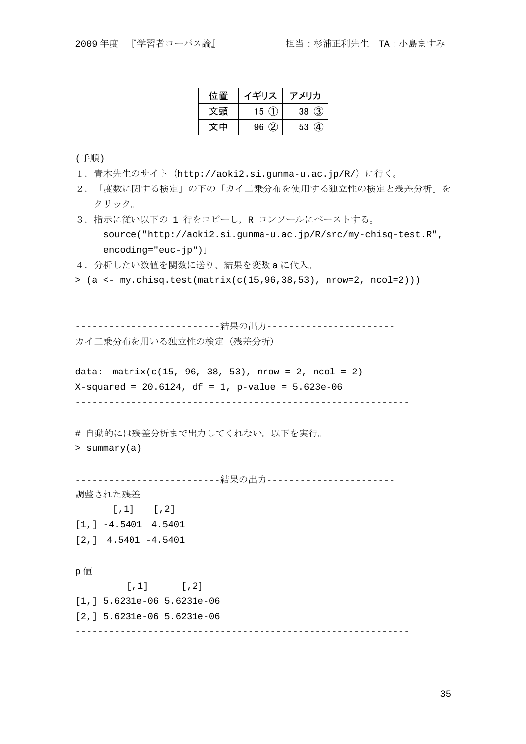| 位置 | イギリス     | アメリカ     |
|----|----------|----------|
| 文頭 | 15 $(1)$ | 38(3)    |
| 文中 | 96(2)    | A,<br>53 |

(手順)

- 1.青木先生のサイト(http://aoki2.si.gunma-u.ac.jp/R/)に行く。
- 2.「度数に関する検定」の下の「カイ二乗分布を使用する独立性の検定と残差分析」を クリック。
- 3. 指示に従い以下の 1 行をコピーし, R コンソールにペーストする。 source("http://aoki2.si.gunma-u.ac.jp/R/src/my-chisq-test.R", encoding="euc-jp")」
- 4.分析したい数値を関数に送り、結果を変数 a に代入。
- $> (a \le -my.chisq.test(matrix(c(15, 96, 38, 53), nrow=2, ncol=2)))$

--------------------------結果の出力----------------------- カイ二乗分布を用いる独立性の検定(残差分析)

data:  $matrix(c(15, 96, 38, 53)$ , nrow = 2, ncol = 2)  $X$ -squared = 20.6124, df = 1, p-value = 5.623e-06 ------------------------------------------------------------

# 自動的には残差分析まで出力してくれない。以下を実行。

> summary(a)

```
--------------------------結果の出力-----------------------
```
調整された残差  $[1]$   $[2]$ [1,] -4.5401 4.5401 [2,] 4.5401 -4.5401

#### p 値

 $[$ , 1]  $[$ , 2] [1,] 5.6231e-06 5.6231e-06 [2,] 5.6231e-06 5.6231e-06 ------------------------------------------------------------